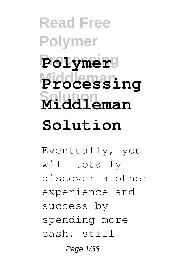# **Read Free Polymer Processing Polymer Middleman Processing Solution Middleman Solution**

Eventually, you will totally discover a other experience and success by spending more cash. still

Page 1/38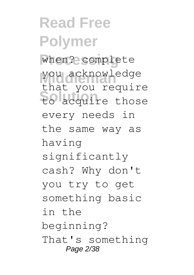**Read Free Polymer** when? complete **Middleman** you acknowledge **Solution** to acquire those that you require every needs in the same way as having significantly cash? Why don't you try to get something basic in the beginning? That's something Page 2/38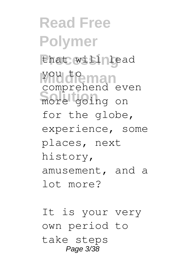**Read Free Polymer Processing** that will lead **Middleman** you to **Solution** more going on comprehend even for the globe, experience, some places, next history, amusement, and a lot more?

It is your very own period to take steps Page 3/38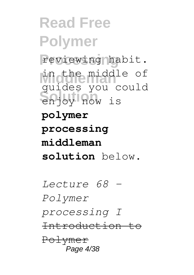### **Read Free Polymer** reviewing habit. in the middle of enjoy now is guides you could **polymer processing middleman solution** below.

*Lecture 68 - Polymer processing I* Introduction to Polymer Page 4/38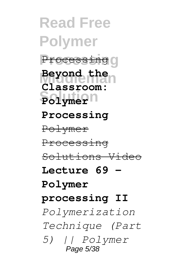**Read Free Polymer Processing** Processing **Middleman Beyond the Solution Polymer Classroom: Processing** Polymer Processing Solutions Video **Lecture 69 - Polymer processing II** *Polymerization Technique (Part 5) || Polymer* Page 5/38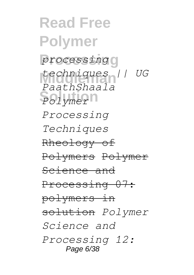**Read Free Polymer Processing** *processing* **Middleman** *techniques || UG* **Solution** *Polymer PaathShaala Processing Techniques* Rheology of Polymers Polymer Science and Processing  $07:$ polymers in solution *Polymer Science and Processing 12:* Page 6/38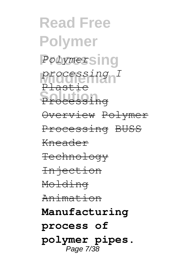**Read Free Polymer** Polymersing **Middleman** *processing I* Processing Plastic Overview Polymer Processing BUSS Kneader Technology Injection Molding Animation **Manufacturing process of polymer pipes.** Page 7/38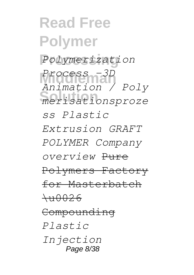**Read Free Polymer Processing** *Polymerization* **Middleman** *Process -3D* **Solution** *merisationsproze Animation / Poly ss Plastic Extrusion GRAFT POLYMER Company overview* Pure Polymers Factory for Masterbatch  $\lambda 0026$ **Compounding** *Plastic Injection* Page 8/38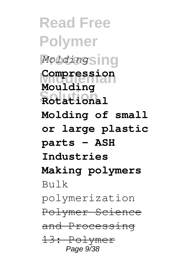**Read Free Polymer Processing** *Molding* **Middleman Compression Solution Rotational Moulding Molding of small or large plastic parts - ASH Industries Making polymers** Bulk polymerization Polymer Science and Processing 13: Polymer Page 9/38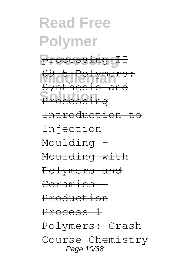#### **Read Free Polymer Processing** processing II **Middleman** 09-5 Polymers: **Solution** Processing Synthesis and Introduction to Injection Moulding - Moulding with Polymers and Ceramics - Production Process 1 Polymers: Crash Course Chemistry Page 10/38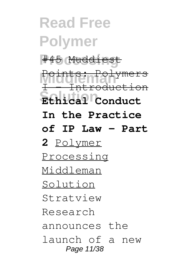**Read Free Polymer Processing** #45 Muddiest <del>Moints: Polymers</del><br><del>I - Introduction</del> **Solution Ethical Conduct** Points: Polymers **In the Practice of IP Law - Part 2** Polymer Processing Middleman Solution Stratview Research announces the launch of a new Page 11/38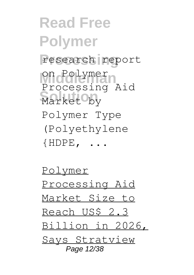**Read Free Polymer** research report on Polymer Market<sup>o</sup>by Processing Aid Polymer Type (Polyethylene {HDPE, ...

Polymer Processing Aid Market Size to Reach US\$ 2.3 Billion in 2026, Says Stratview Page 12/38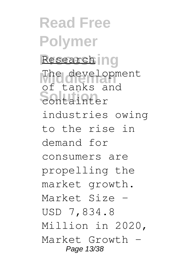**Read Free Polymer** Research ng The development **Solution** containter of tanks and industries owing to the rise in demand for consumers are propelling the market growth. Market Size – USD 7,834.8 Million in 2020, Market Growth – Page 13/38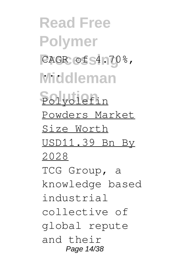**Read Free Polymer** CAGR of 54.70%, **Middleman** ... **Solution** Polyolefin Powders Market Size Worth USD11.39 Bn By 2028 TCG Group, a knowledge based industrial collective of global repute and their Page 14/38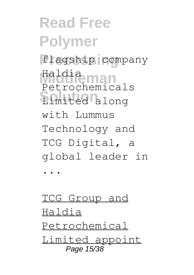**Read Free Polymer Processing** flagship company **Middleman** Haldia **Solution** Limited along Petrochemicals with Lummus Technology and TCG Digital, a global leader in ...

TCG Group and Haldia Petrochemical Limited appoint Page 15/38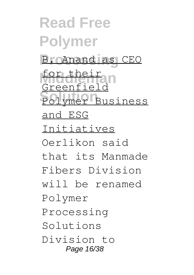**Read Free Polymer Processing** B. Anand as CEO <u>for their</u><br>Greenfield **Polymer** Business for thei and ESG Initiatives Oerlikon said that its Manmade Fibers Division will be renamed Polymer Processing Solutions Division to Page 16/38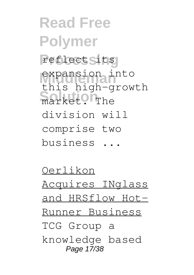**Read Free Polymer** reflect sits expansion into market? The this high-growth division will comprise two business ...

Oerlikon Acquires INglass and HRSflow Hot-Runner Business TCG Group a knowledge based Page 17/38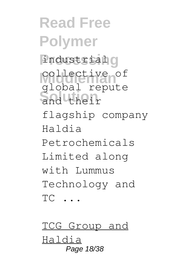**Read Free Polymer** industrialg collective of and their global repute flagship company Haldia Petrochemicals Limited along with Lummus Technology and TC ...

TCG Group and Haldia Page 18/38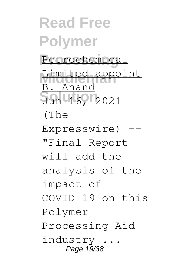**Read Free Polymer** Petrochemical Limited appoint  $50nV169r2021$ B. Anand (The Expresswire) -- "Final Report will add the analysis of the impact of COVID-19 on this Polymer Processing Aid industry ... Page 19/38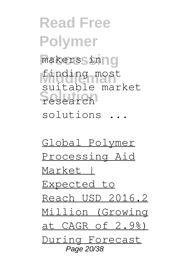### **Read Free Polymer** makerssinng finding most research suitable market solutions ...

Global Polymer Processing Aid Market | Expected to Reach USD 2016.2 Million (Growing at CAGR of 2.9%) During Forecast Page 20/38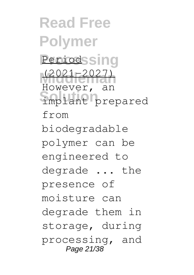**Read Free Polymer Peniodssing Middleman** (2021-2027) implant prepared However, an from biodegradable polymer can be engineered to degrade ... the presence of moisture can degrade them in storage, during processing, and Page 21/38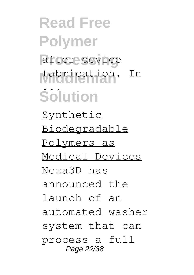**Read Free Polymer Processing** after device fabrication. In **Solution** ... Synthetic Biodegradable Polymers as Medical Devices Nexa3D has announced the launch of an automated washer system that can process a full Page 22/38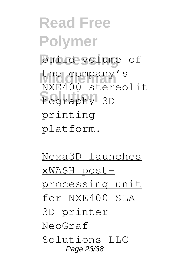### **Read Free Polymer Processing** build volume of the company's hography 3D NXE400 stereolit printing platform.

Nexa3D launches xWASH postprocessing unit for NXE400 SLA 3D printer NeoGraf Solutions LLC Page 23/38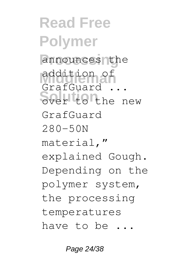**Read Free Polymer** announces the **Middleman** addition of Sover to the new GrafGuard ... GrafGuard 280-50N material," explained Gough. Depending on the polymer system, the processing temperatures have to be ...

Page 24/38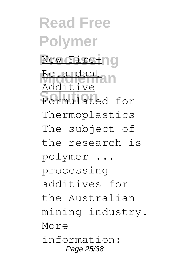**Read Free Polymer New Fire-ng** Retardant<br>Redstingen Formulated for Additive Thermoplastics The subject of the research is polymer ... processing additives for the Australian mining industry. More information: Page 25/38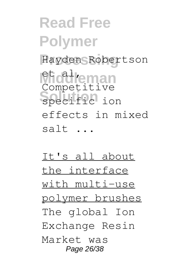### **Read Free Polymer** Hayden Robertson **Middleman** Specific ion Competitive effects in mixed salt ...

It's all about the interface with multi-use polymer brushes The global Ion Exchange Resin Market was Page 26/38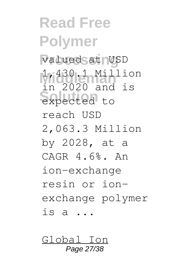**Read Free Polymer** valued at NSD **Middleman** 1,430.1 Million expected to in 2020 and is reach USD 2,063.3 Million by 2028, at a CAGR 4.6%. An ion-exchange resin or ionexchange polymer is a ...

Global Ion Page 27/38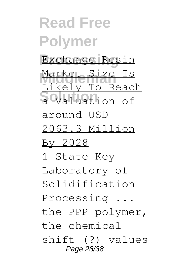**Read Free Polymer Processing** Exchange Resin Market Size Is **Solution** a Valuation of Likely To Reach around USD 2063.3 Million By 2028 1 State Key Laboratory of Solidification Processing ... the PPP polymer, the chemical shift (?) values Page 28/38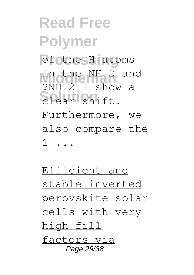**Read Free Polymer** of the H atoms **Middleman** in the NH 2 and Spear Shift. ?NH 2 + show a Furthermore, we also compare the  $1 \quad . \quad .$ 

Efficient and stable inverted perovskite solar cells with very high fill factors via Page 29/38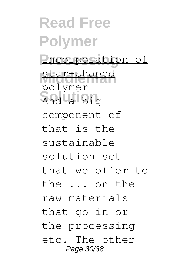**Read Free Polymer** incorporation of star-shaped **Solution** And a big polymer component of that is the sustainable solution set that we offer to the ... on the raw materials that go in or the processing etc. The other Page 30/38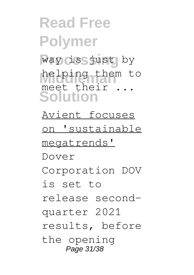**Read Free Polymer** way ciss just by **Middleman** helping them to **Solution** meet their ... Avient focuses on 'sustainable megatrends' Dover Corporation DOV is set to release secondquarter 2021 results, before the opening Page 31/38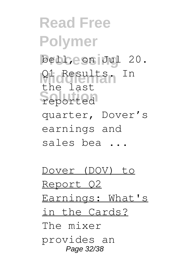#### **Read Free Polymer Processing** bell, on Jul 20. **Middleman** Q1 Results. In reported the last quarter, Dover's earnings and sales bea ...

Dover (DOV) to Report Q2 Earnings: What's in the Cards? The mixer provides an Page 32/38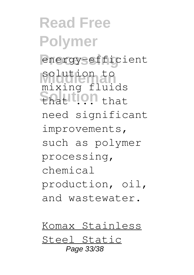**Read Free Polymer Processing** energy-efficient **Middleman** solution to **ShatItion** that mixing fluids need significant improvements, such as polymer processing, chemical production, oil, and wastewater.

Komax Stainless Steel Static Page 33/38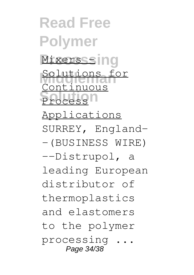**Read Free Polymer Mixersssing Solutions for Process**<sup>1</sup> Continuous Applications SURREY, England- -(BUSINESS WIRE) --Distrupol, a leading European distributor of thermoplastics and elastomers to the polymer processing ... Page 34/38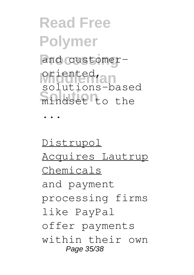# **Read Free Polymer** and customer-**Middleman** oriented, mindset to the solutions-based

...

Distrupol Acquires Lautrup Chemicals and payment processing firms like PayPal offer payments within their own Page 35/38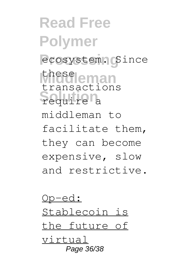**Read Free Polymer** ecosystem. Since these eman require<sup>1</sup> transactions middleman to facilitate them, they can become expensive, slow and restrictive.

Op-ed: Stablecoin is the future of virtual Page 36/38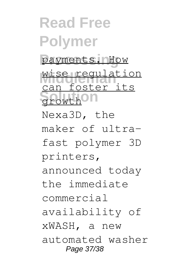**Read Free Polymer** payments. How wise regulation growth<sup>on</sup> can foster its Nexa3D, the maker of ultrafast polymer 3D printers, announced today the immediate commercial availability of xWASH, a new automated washer Page 37/38